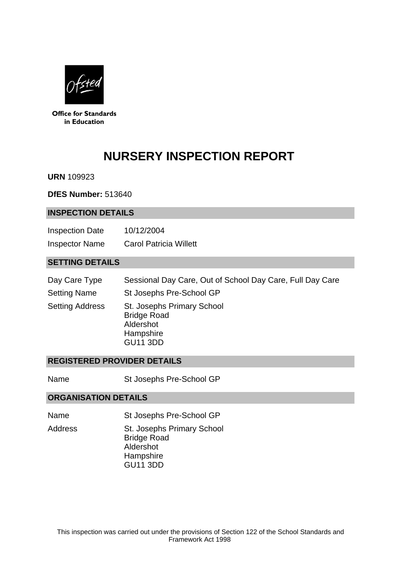

**Office for Standards** in Education

# **NURSERY INSPECTION REPORT**

**URN** 109923

**DfES Number:** 513640

#### **INSPECTION DETAILS**

| <b>Inspection Date</b> | 10/12/2004                    |
|------------------------|-------------------------------|
| <b>Inspector Name</b>  | <b>Carol Patricia Willett</b> |

## **SETTING DETAILS**

| Day Care Type | Sessional Day Care, Out of School Day Care, Full Day Care |  |  |
|---------------|-----------------------------------------------------------|--|--|
|---------------|-----------------------------------------------------------|--|--|

- Setting Name St Josephs Pre-School GP
- Setting Address St. Josephs Primary School Bridge Road Aldershot **Hampshire** GU11 3DD

#### **REGISTERED PROVIDER DETAILS**

Name St Josephs Pre-School GP

#### **ORGANISATION DETAILS**

- Name St Josephs Pre-School GP
- Address St. Josephs Primary School Bridge Road Aldershot **Hampshire** GU11 3DD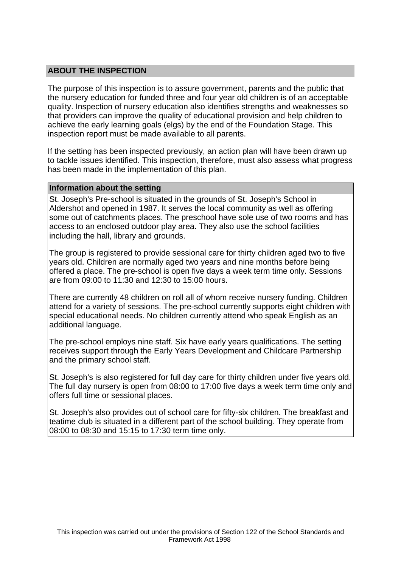## **ABOUT THE INSPECTION**

The purpose of this inspection is to assure government, parents and the public that the nursery education for funded three and four year old children is of an acceptable quality. Inspection of nursery education also identifies strengths and weaknesses so that providers can improve the quality of educational provision and help children to achieve the early learning goals (elgs) by the end of the Foundation Stage. This inspection report must be made available to all parents.

If the setting has been inspected previously, an action plan will have been drawn up to tackle issues identified. This inspection, therefore, must also assess what progress has been made in the implementation of this plan.

#### **Information about the setting**

St. Joseph's Pre-school is situated in the grounds of St. Joseph's School in Aldershot and opened in 1987. It serves the local community as well as offering some out of catchments places. The preschool have sole use of two rooms and has access to an enclosed outdoor play area. They also use the school facilities including the hall, library and grounds.

The group is registered to provide sessional care for thirty children aged two to five years old. Children are normally aged two years and nine months before being offered a place. The pre-school is open five days a week term time only. Sessions are from 09:00 to 11:30 and 12:30 to 15:00 hours.

There are currently 48 children on roll all of whom receive nursery funding. Children attend for a variety of sessions. The pre-school currently supports eight children with special educational needs. No children currently attend who speak English as an additional language.

The pre-school employs nine staff. Six have early years qualifications. The setting receives support through the Early Years Development and Childcare Partnership and the primary school staff.

St. Joseph's is also registered for full day care for thirty children under five years old. The full day nursery is open from 08:00 to 17:00 five days a week term time only and offers full time or sessional places.

St. Joseph's also provides out of school care for fifty-six children. The breakfast and teatime club is situated in a different part of the school building. They operate from 08:00 to 08:30 and 15:15 to 17:30 term time only.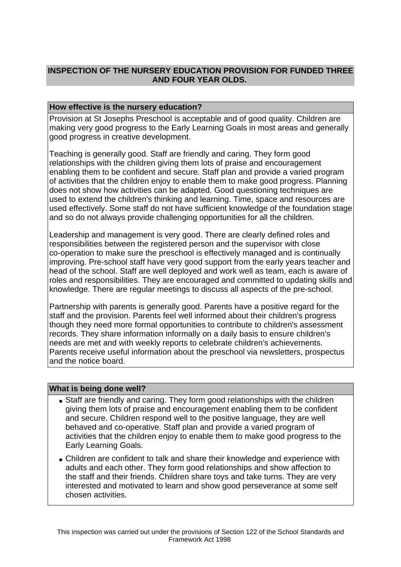# **INSPECTION OF THE NURSERY EDUCATION PROVISION FOR FUNDED THREE AND FOUR YEAR OLDS.**

## **How effective is the nursery education?**

Provision at St Josephs Preschool is acceptable and of good quality. Children are making very good progress to the Early Learning Goals in most areas and generally good progress in creative development.

Teaching is generally good. Staff are friendly and caring. They form good relationships with the children giving them lots of praise and encouragement enabling them to be confident and secure. Staff plan and provide a varied program of activities that the children enjoy to enable them to make good progress. Planning does not show how activities can be adapted. Good questioning techniques are used to extend the children's thinking and learning. Time, space and resources are used effectively. Some staff do not have sufficient knowledge of the foundation stage and so do not always provide challenging opportunities for all the children.

Leadership and management is very good. There are clearly defined roles and responsibilities between the registered person and the supervisor with close co-operation to make sure the preschool is effectively managed and is continually improving. Pre-school staff have very good support from the early years teacher and head of the school. Staff are well deployed and work well as team, each is aware of roles and responsibilities. They are encouraged and committed to updating skills and knowledge. There are regular meetings to discuss all aspects of the pre-school.

Partnership with parents is generally good. Parents have a positive regard for the staff and the provision. Parents feel well informed about their children's progress though they need more formal opportunities to contribute to children's assessment records. They share information informally on a daily basis to ensure children's needs are met and with weekly reports to celebrate children's achievements. Parents receive useful information about the preschool via newsletters, prospectus and the notice board.

#### **What is being done well?**

- Staff are friendly and caring. They form good relationships with the children giving them lots of praise and encouragement enabling them to be confident and secure. Children respond well to the positive language, they are well behaved and co-operative. Staff plan and provide a varied program of activities that the children enjoy to enable them to make good progress to the Early Learning Goals.
- Children are confident to talk and share their knowledge and experience with adults and each other. They form good relationships and show affection to the staff and their friends. Children share toys and take turns. They are very interested and motivated to learn and show good perseverance at some self chosen activities.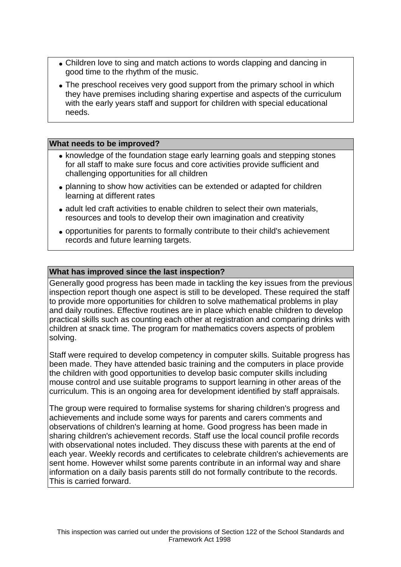- Children love to sing and match actions to words clapping and dancing in good time to the rhythm of the music.
- The preschool receives very good support from the primary school in which they have premises including sharing expertise and aspects of the curriculum with the early years staff and support for children with special educational needs.

## **What needs to be improved?**

- knowledge of the foundation stage early learning goals and stepping stones for all staff to make sure focus and core activities provide sufficient and challenging opportunities for all children
- planning to show how activities can be extended or adapted for children learning at different rates
- adult led craft activities to enable children to select their own materials, resources and tools to develop their own imagination and creativity
- opportunities for parents to formally contribute to their child's achievement records and future learning targets.

## **What has improved since the last inspection?**

Generally good progress has been made in tackling the key issues from the previous inspection report though one aspect is still to be developed. These required the staff to provide more opportunities for children to solve mathematical problems in play and daily routines. Effective routines are in place which enable children to develop practical skills such as counting each other at registration and comparing drinks with children at snack time. The program for mathematics covers aspects of problem solving.

Staff were required to develop competency in computer skills. Suitable progress has been made. They have attended basic training and the computers in place provide the children with good opportunities to develop basic computer skills including mouse control and use suitable programs to support learning in other areas of the curriculum. This is an ongoing area for development identified by staff appraisals.

The group were required to formalise systems for sharing children's progress and achievements and include some ways for parents and carers comments and observations of children's learning at home. Good progress has been made in sharing children's achievement records. Staff use the local council profile records with observational notes included. They discuss these with parents at the end of each year. Weekly records and certificates to celebrate children's achievements are sent home. However whilst some parents contribute in an informal way and share information on a daily basis parents still do not formally contribute to the records. This is carried forward.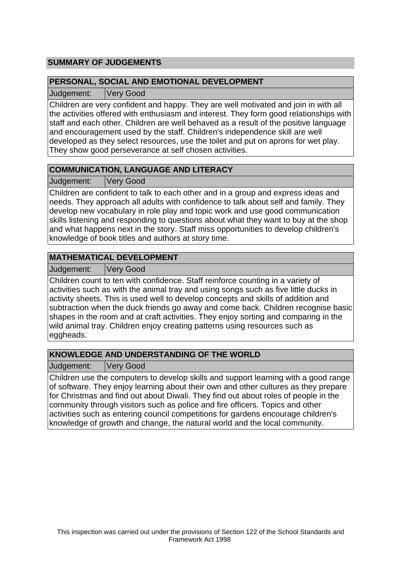# **SUMMARY OF JUDGEMENTS**

## **PERSONAL, SOCIAL AND EMOTIONAL DEVELOPMENT**

Judgement: Very Good

Children are very confident and happy. They are well motivated and join in with all the activities offered with enthusiasm and interest. They form good relationships with staff and each other. Children are well behaved as a result of the positive language and encouragement used by the staff. Children's independence skill are well developed as they select resources, use the toilet and put on aprons for wet play. They show good perseverance at self chosen activities.

# **COMMUNICATION, LANGUAGE AND LITERACY**

Judgement: Very Good

Children are confident to talk to each other and in a group and express ideas and needs. They approach all adults with confidence to talk about self and family. They develop new vocabulary in role play and topic work and use good communication skills listening and responding to questions about what they want to buy at the shop and what happens next in the story. Staff miss opportunities to develop children's knowledge of book titles and authors at story time.

# **MATHEMATICAL DEVELOPMENT**

Judgement: Very Good

Children count to ten with confidence. Staff reinforce counting in a variety of activities such as with the animal tray and using songs such as five little ducks in activity sheets. This is used well to develop concepts and skills of addition and subtraction when the duck friends go away and come back. Children recognise basic shapes in the room and at craft activities. They enjoy sorting and comparing in the wild animal tray. Children enjoy creating patterns using resources such as eggheads.

# **KNOWLEDGE AND UNDERSTANDING OF THE WORLD**

Judgement: Very Good

Children use the computers to develop skills and support learning with a good range of software. They enjoy learning about their own and other cultures as they prepare for Christmas and find out about Diwali. They find out about roles of people in the community through visitors such as police and fire officers. Topics and other activities such as entering council competitions for gardens encourage children's knowledge of growth and change, the natural world and the local community.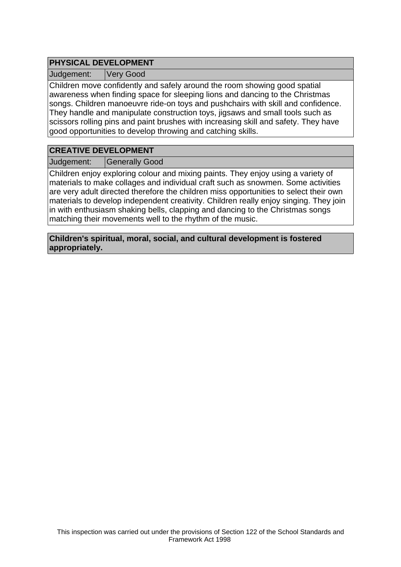# **PHYSICAL DEVELOPMENT**

Judgement: Very Good

Children move confidently and safely around the room showing good spatial awareness when finding space for sleeping lions and dancing to the Christmas songs. Children manoeuvre ride-on toys and pushchairs with skill and confidence. They handle and manipulate construction toys, jigsaws and small tools such as scissors rolling pins and paint brushes with increasing skill and safety. They have good opportunities to develop throwing and catching skills.

# **CREATIVE DEVELOPMENT**

Judgement: Generally Good

Children enjoy exploring colour and mixing paints. They enjoy using a variety of materials to make collages and individual craft such as snowmen. Some activities are very adult directed therefore the children miss opportunities to select their own materials to develop independent creativity. Children really enjoy singing. They join in with enthusiasm shaking bells, clapping and dancing to the Christmas songs matching their movements well to the rhythm of the music.

**Children's spiritual, moral, social, and cultural development is fostered appropriately.**